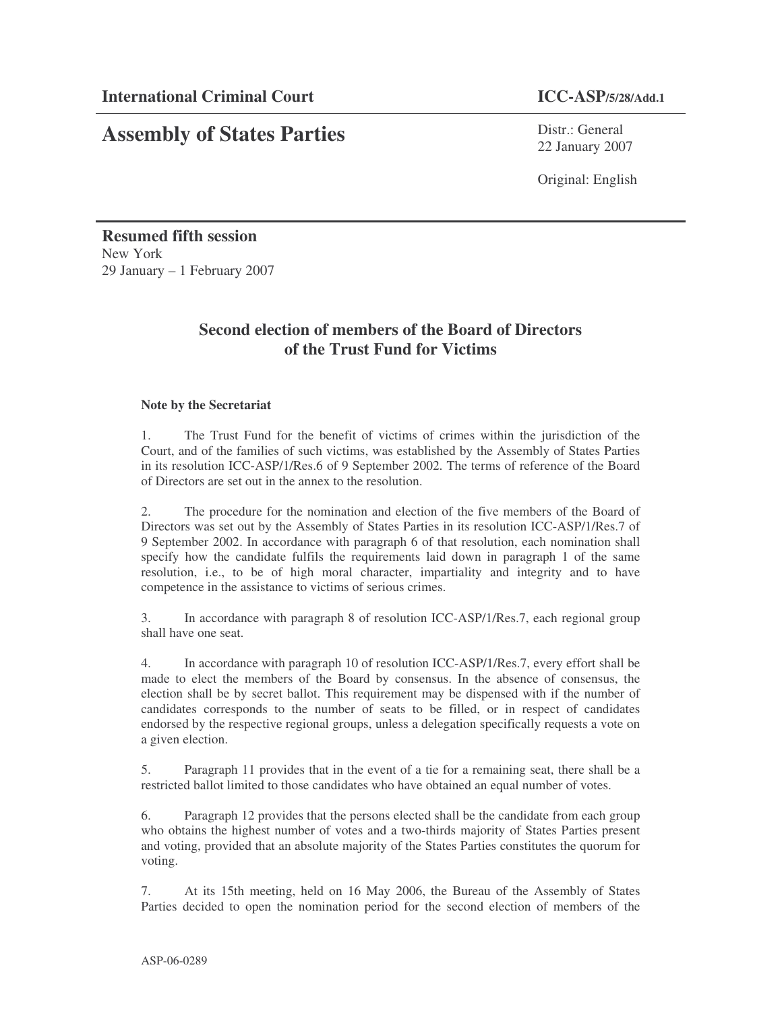# **Assembly of States Parties**

Distr.: General 22 January 2007

Original: English

**Resumed fifth session** New York 29 January – 1 February 2007

# **Second election of members of the Board of Directors of the Trust Fund for Victims**

# **Note by the Secretariat**

1. The Trust Fund for the benefit of victims of crimes within the jurisdiction of the Court, and of the families of such victims, was established by the Assembly of States Parties in its resolution ICC-ASP/1/Res.6 of 9 September 2002. The terms of reference of the Board of Directors are set out in the annex to the resolution.

2. The procedure for the nomination and election of the five members of the Board of Directors was set out by the Assembly of States Parties in its resolution ICC-ASP/1/Res.7 of 9 September 2002. In accordance with paragraph 6 of that resolution, each nomination shall specify how the candidate fulfils the requirements laid down in paragraph 1 of the same resolution, i.e., to be of high moral character, impartiality and integrity and to have competence in the assistance to victims of serious crimes.

3. In accordance with paragraph 8 of resolution ICC-ASP/1/Res.7, each regional group shall have one seat.

4. In accordance with paragraph 10 of resolution ICC-ASP/1/Res.7, every effort shall be made to elect the members of the Board by consensus. In the absence of consensus, the election shall be by secret ballot. This requirement may be dispensed with if the number of candidates corresponds to the number of seats to be filled, or in respect of candidates endorsed by the respective regional groups, unless a delegation specifically requests a vote on a given election.

5. Paragraph 11 provides that in the event of a tie for a remaining seat, there shall be a restricted ballot limited to those candidates who have obtained an equal number of votes.

6. Paragraph 12 provides that the persons elected shall be the candidate from each group who obtains the highest number of votes and a two-thirds majority of States Parties present and voting, provided that an absolute majority of the States Parties constitutes the quorum for voting.

7. At its 15th meeting, held on 16 May 2006, the Bureau of the Assembly of States Parties decided to open the nomination period for the second election of members of the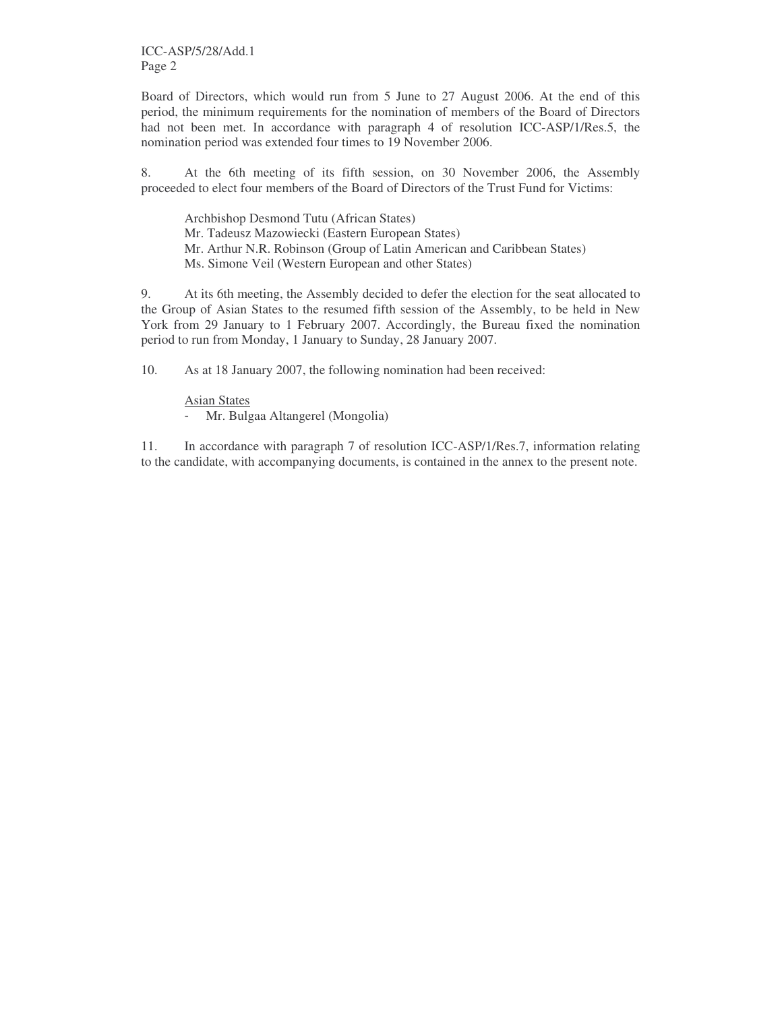ICC-ASP/5/28/Add.1 Page 2

Board of Directors, which would run from 5 June to 27 August 2006. At the end of this period, the minimum requirements for the nomination of members of the Board of Directors had not been met. In accordance with paragraph 4 of resolution ICC-ASP/1/Res.5, the nomination period was extended four times to 19 November 2006.

8. At the 6th meeting of its fifth session, on 30 November 2006, the Assembly proceeded to elect four members of the Board of Directors of the Trust Fund for Victims:

Archbishop Desmond Tutu (African States) Mr. Tadeusz Mazowiecki (Eastern European States) Mr. Arthur N.R. Robinson (Group of Latin American and Caribbean States) Ms. Simone Veil (Western European and other States)

9. At its 6th meeting, the Assembly decided to defer the election for the seat allocated to the Group of Asian States to the resumed fifth session of the Assembly, to be held in New York from 29 January to 1 February 2007. Accordingly, the Bureau fixed the nomination period to run from Monday, 1 January to Sunday, 28 January 2007.

10. As at 18 January 2007, the following nomination had been received:

Asian States - Mr. Bulgaa Altangerel (Mongolia)

11. In accordance with paragraph 7 of resolution ICC-ASP/1/Res.7, information relating to the candidate, with accompanying documents, is contained in the annex to the present note.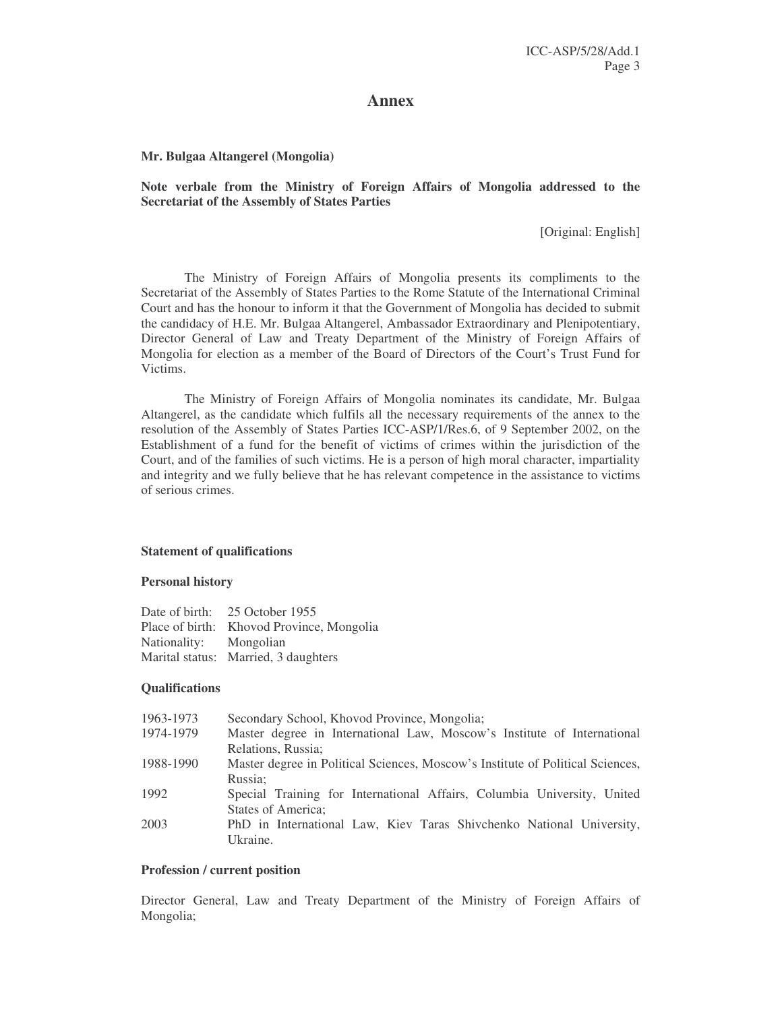# **Annex**

#### **Mr. Bulgaa Altangerel (Mongolia)**

# **Note verbale from the Ministry of Foreign Affairs of Mongolia addressed to the Secretariat of the Assembly of States Parties**

[Original: English]

The Ministry of Foreign Affairs of Mongolia presents its compliments to the Secretariat of the Assembly of States Parties to the Rome Statute of the International Criminal Court and has the honour to inform it that the Government of Mongolia has decided to submit the candidacy of H.E. Mr. Bulgaa Altangerel, Ambassador Extraordinary and Plenipotentiary, Director General of Law and Treaty Department of the Ministry of Foreign Affairs of Mongolia for election as a member of the Board of Directors of the Court's Trust Fund for Victims.

The Ministry of Foreign Affairs of Mongolia nominates its candidate, Mr. Bulgaa Altangerel, as the candidate which fulfils all the necessary requirements of the annex to the resolution of the Assembly of States Parties ICC-ASP/1/Res.6, of 9 September 2002, on the Establishment of a fund for the benefit of victims of crimes within the jurisdiction of the Court, and of the families of such victims. He is a person of high moral character, impartiality and integrity and we fully believe that he has relevant competence in the assistance to victims of serious crimes.

#### **Statement of qualifications**

#### **Personal history**

| Date of birth: | 25 October 1955                           |
|----------------|-------------------------------------------|
|                | Place of birth: Khovod Province, Mongolia |
| Nationality:   | Mongolian                                 |
|                | Marital status: Married, 3 daughters      |

#### **Qualifications**

| 1963-1973 | Secondary School, Khovod Province, Mongolia;                                   |
|-----------|--------------------------------------------------------------------------------|
| 1974-1979 | Master degree in International Law, Moscow's Institute of International        |
|           | Relations, Russia:                                                             |
| 1988-1990 | Master degree in Political Sciences, Moscow's Institute of Political Sciences, |
|           | Russia:                                                                        |
| 1992      | Special Training for International Affairs, Columbia University, United        |
|           | States of America;                                                             |
| 2003      | PhD in International Law, Kiev Taras Shivchenko National University,           |
|           | Ukraine.                                                                       |

#### **Profession / current position**

Director General, Law and Treaty Department of the Ministry of Foreign Affairs of Mongolia;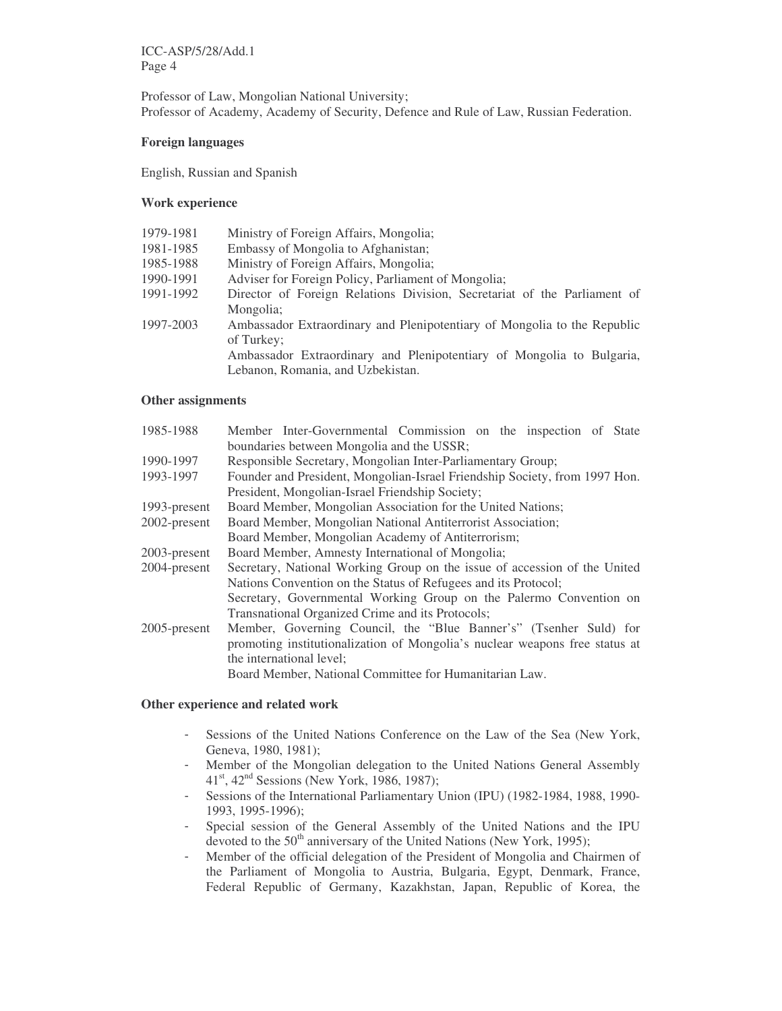Professor of Law, Mongolian National University; Professor of Academy, Academy of Security, Defence and Rule of Law, Russian Federation.

## **Foreign languages**

English, Russian and Spanish

# **Work experience**

| 1979-1981 | Ministry of Foreign Affairs, Mongolia;                                   |
|-----------|--------------------------------------------------------------------------|
| 1981-1985 | Embassy of Mongolia to Afghanistan;                                      |
| 1985-1988 | Ministry of Foreign Affairs, Mongolia;                                   |
| 1990-1991 | Adviser for Foreign Policy, Parliament of Mongolia;                      |
| 1991-1992 | Director of Foreign Relations Division, Secretariat of the Parliament of |
|           | Mongolia;                                                                |
| 1997-2003 | Ambassador Extraordinary and Plenipotentiary of Mongolia to the Republic |
|           | of Turkey;                                                               |
|           | Ambassador Extraordinary and Plenipotentiary of Mongolia to Bulgaria,    |
|           | Lebanon, Romania, and Uzbekistan.                                        |

#### **Other assignments**

| 1985-1988       | Member Inter-Governmental Commission on the inspection of State             |  |
|-----------------|-----------------------------------------------------------------------------|--|
|                 | boundaries between Mongolia and the USSR;                                   |  |
| 1990-1997       | Responsible Secretary, Mongolian Inter-Parliamentary Group;                 |  |
| 1993-1997       | Founder and President, Mongolian-Israel Friendship Society, from 1997 Hon.  |  |
|                 | President, Mongolian-Israel Friendship Society;                             |  |
| 1993-present    | Board Member, Mongolian Association for the United Nations;                 |  |
| 2002-present    | Board Member, Mongolian National Antiterrorist Association;                 |  |
|                 | Board Member, Mongolian Academy of Antiterrorism;                           |  |
| 2003-present    | Board Member, Amnesty International of Mongolia;                            |  |
| 2004-present    | Secretary, National Working Group on the issue of accession of the United   |  |
|                 | Nations Convention on the Status of Refugees and its Protocol;              |  |
|                 | Secretary, Governmental Working Group on the Palermo Convention on          |  |
|                 | Transnational Organized Crime and its Protocols;                            |  |
| $2005$ -present | Member, Governing Council, the "Blue Banner's" (Tsenher Suld) for           |  |
|                 | promoting institutionalization of Mongolia's nuclear weapons free status at |  |
|                 | the international level;                                                    |  |
|                 | Board Member, National Committee for Humanitarian Law.                      |  |

## **Other experience and related work**

- Sessions of the United Nations Conference on the Law of the Sea (New York, Geneva, 1980, 1981);
- Member of the Mongolian delegation to the United Nations General Assembly 41<sup>st</sup>, 42<sup>nd</sup> Sessions (New York, 1986, 1987);
- Sessions of the International Parliamentary Union (IPU) (1982-1984, 1988, 1990- 1993, 1995-1996);
- Special session of the General Assembly of the United Nations and the IPU devoted to the 50<sup>th</sup> anniversary of the United Nations (New York, 1995);
- Member of the official delegation of the President of Mongolia and Chairmen of the Parliament of Mongolia to Austria, Bulgaria, Egypt, Denmark, France, Federal Republic of Germany, Kazakhstan, Japan, Republic of Korea, the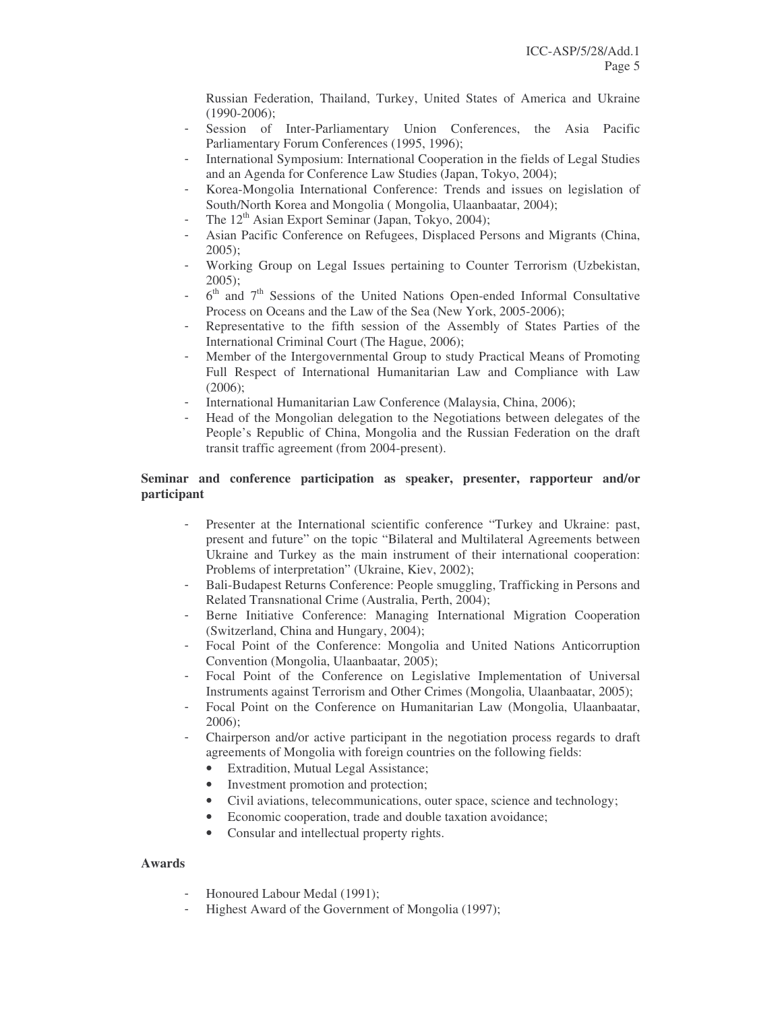Russian Federation, Thailand, Turkey, United States of America and Ukraine (1990-2006);

- Session of Inter-Parliamentary Union Conferences, the Asia Pacific Parliamentary Forum Conferences (1995, 1996);
- International Symposium: International Cooperation in the fields of Legal Studies and an Agenda for Conference Law Studies (Japan, Tokyo, 2004);
- Korea-Mongolia International Conference: Trends and issues on legislation of South/North Korea and Mongolia ( Mongolia, Ulaanbaatar, 2004);
- The 12<sup>th</sup> Asian Export Seminar (Japan, Tokyo, 2004);
- Asian Pacific Conference on Refugees, Displaced Persons and Migrants (China, 2005);
- Working Group on Legal Issues pertaining to Counter Terrorism (Uzbekistan, 2005);
- $-6$ <sup>th</sup> and  $7$ <sup>th</sup> Sessions of the United Nations Open-ended Informal Consultative Process on Oceans and the Law of the Sea (New York, 2005-2006);
- Representative to the fifth session of the Assembly of States Parties of the International Criminal Court (The Hague, 2006);
- Member of the Intergovernmental Group to study Practical Means of Promoting Full Respect of International Humanitarian Law and Compliance with Law (2006);
- International Humanitarian Law Conference (Malaysia, China, 2006);
- Head of the Mongolian delegation to the Negotiations between delegates of the People's Republic of China, Mongolia and the Russian Federation on the draft transit traffic agreement (from 2004-present).

# **Seminar and conference participation as speaker, presenter, rapporteur and/or participant**

- Presenter at the International scientific conference "Turkey and Ukraine: past, present and future" on the topic "Bilateral and Multilateral Agreements between Ukraine and Turkey as the main instrument of their international cooperation: Problems of interpretation" (Ukraine, Kiev, 2002);
- Bali-Budapest Returns Conference: People smuggling, Trafficking in Persons and Related Transnational Crime (Australia, Perth, 2004);
- Berne Initiative Conference: Managing International Migration Cooperation (Switzerland, China and Hungary, 2004);
- Focal Point of the Conference: Mongolia and United Nations Anticorruption Convention (Mongolia, Ulaanbaatar, 2005);
- Focal Point of the Conference on Legislative Implementation of Universal Instruments against Terrorism and Other Crimes (Mongolia, Ulaanbaatar, 2005);
- Focal Point on the Conference on Humanitarian Law (Mongolia, Ulaanbaatar, 2006);
- Chairperson and/or active participant in the negotiation process regards to draft agreements of Mongolia with foreign countries on the following fields:
	- Extradition, Mutual Legal Assistance;
	- Investment promotion and protection;
	- Civil aviations, telecommunications, outer space, science and technology;
	- Economic cooperation, trade and double taxation avoidance;
	- Consular and intellectual property rights.

# **Awards**

- Honoured Labour Medal (1991);
- Highest Award of the Government of Mongolia (1997);